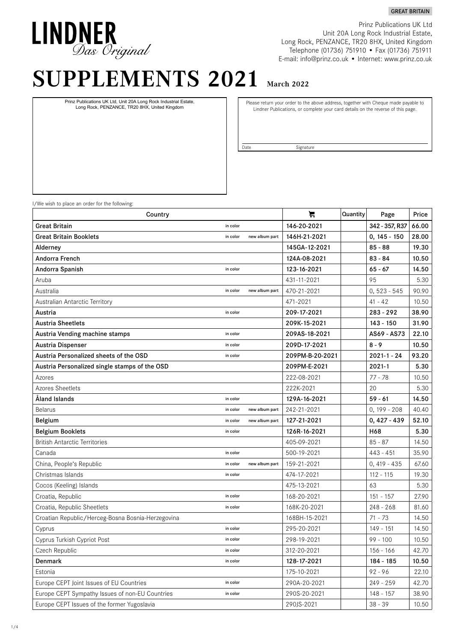# LINDNER<br>*Das Original*

Prinz Publications UK Ltd Unit 20A Long Rock Industrial Estate, Long Rock, PENZANCE, TR20 8HX, United Kingdom Telephone (01736) 751910 • Fax (01736) 751911 E-mail: info@prinz.co.uk • Internet: www.prinz.co.uk

GREAT BRITAIN

# SUPPLEMENTS 2021 March 2022

Prinz Publications UK Ltd, Unit 20A Long Rock Industrial Estate, Long Rock, PENZANCE, TR20 8HX, United Kingdom

Please return your order to the above address, together with Cheque made payable to Lindner Publications, or complete your card details on the reverse of this page.

Date Signature

I/We wish to place an order for the following:

| Country                                           |          |                | ਸ਼              | Quantity | Page            | Price |
|---------------------------------------------------|----------|----------------|-----------------|----------|-----------------|-------|
| <b>Great Britain</b>                              | in color |                | 146-20-2021     |          | 342 - 357, R37  | 66.00 |
| Great Britain Booklets                            | in color | new album part | 146H-21-2021    |          | $0, 145 - 150$  | 28.00 |
| Alderney                                          |          |                | 145GA-12-2021   |          | $85 - 88$       | 19.30 |
| Andorra French                                    |          |                | 124A-08-2021    |          | $83 - 84$       | 10.50 |
| Andorra Spanish                                   | in color |                | 123-16-2021     |          | $65 - 67$       | 14.50 |
| Aruba                                             |          |                | 431-11-2021     |          | 95              | 5.30  |
| Australia                                         | in color | new album part | 470-21-2021     |          | $0, 523 - 545$  | 90.90 |
| Australian Antarctic Territory                    |          |                | 471-2021        |          | $41 - 42$       | 10.50 |
| Austria                                           | in color |                | 209-17-2021     |          | $283 - 292$     | 38.90 |
| <b>Austria Sheetlets</b>                          |          |                | 209K-15-2021    |          | $143 - 150$     | 31.90 |
| Austria Vending machine stamps                    | in color |                | 209AS-18-2021   |          | AS69 - AS73     | 22.10 |
| Austria Dispenser                                 | in color |                | 209D-17-2021    |          | $8 - 9$         | 10.50 |
| Austria Personalized sheets of the OSD            | in color |                | 209PM-B-20-2021 |          | $2021 - 1 - 24$ | 93.20 |
| Austria Personalized single stamps of the OSD     |          |                | 209PM-E-2021    |          | $2021 - 1$      | 5.30  |
| Azores                                            |          |                | 222-08-2021     |          | $77 - 78$       | 10.50 |
| Azores Sheetlets                                  |          |                | 222K-2021       |          | 20              | 5.30  |
| Åland Islands                                     | in color |                | 129A-16-2021    |          | $59 - 61$       | 14.50 |
| <b>Belarus</b>                                    | in color | new album part | 242-21-2021     |          | $0, 199 - 208$  | 40.40 |
| Belgium                                           | in color | new album part | 127-21-2021     |          | $0,427 - 439$   | 52.10 |
| <b>Belgium Booklets</b>                           | in color |                | 126R-16-2021    |          | H68             | 5.30  |
| <b>British Antarctic Territories</b>              |          |                | 405-09-2021     |          | $85 - 87$       | 14.50 |
| Canada                                            | in color |                | 500-19-2021     |          | $443 - 451$     | 35.90 |
| China, People's Republic                          | in color | new album part | 159-21-2021     |          | $0,419 - 435$   | 67.60 |
| Christmas Islands                                 | in color |                | 474-17-2021     |          | $112 - 115$     | 19.30 |
| Cocos (Keeling) Islands                           |          |                | 475-13-2021     |          | 63              | 5.30  |
| Croatia, Republic                                 | in color |                | 168-20-2021     |          | $151 - 157$     | 27.90 |
| Croatia, Republic Sheetlets                       | in color |                | 168K-20-2021    |          | $248 - 268$     | 81.60 |
| Croatian Republic/Herceg-Bosna Bosnia-Herzegovina |          |                | 168BH-15-2021   |          | $71 - 73$       | 14.50 |
| Cyprus                                            | in color |                | 295-20-2021     |          | $149 - 151$     | 14.50 |
| Cyprus Turkish Cypriot Post                       | in color |                | 298-19-2021     |          | 99 - 100        | 10.50 |
| Czech Republic                                    | in color |                | 312-20-2021     |          | 156 - 166       | 42.70 |
| Denmark                                           | in color |                | 128-17-2021     |          | 184 - 185       | 10.50 |
| Estonia                                           |          |                | 175-10-2021     |          | $92 - 96$       | 22.10 |
| Europe CEPT Joint Issues of EU Countries          | in color |                | 290A-20-2021    |          | $249 - 259$     | 42.70 |
| Europe CEPT Sympathy Issues of non-EU Countries   | in color |                | 290S-20-2021    |          | $148 - 157$     | 38.90 |
| Europe CEPT Issues of the former Yugoslavia       |          |                | 290JS-2021      |          | $38 - 39$       | 10.50 |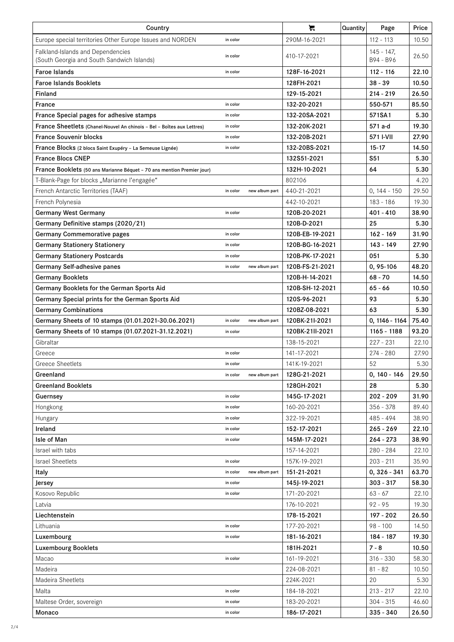| Country                                                                         | ਸ਼              | Quantity       | Page            | Price       |                            |       |
|---------------------------------------------------------------------------------|-----------------|----------------|-----------------|-------------|----------------------------|-------|
| Europe special territories Other Europe Issues and NORDEN                       | in color        |                | 290M-16-2021    |             | $112 - 113$                | 10.50 |
| Falkland-Islands and Dependencies<br>(South Georgia and South Sandwich Islands) | in color        |                | 410-17-2021     |             | $145 - 147$ ,<br>B94 - B96 | 26.50 |
| <b>Faroe Islands</b>                                                            |                 | 128F-16-2021   |                 | $112 - 116$ | 22.10                      |       |
| <b>Faroe Islands Booklets</b>                                                   |                 |                | 128FH-2021      |             | $38 - 39$                  | 10.50 |
| Finland                                                                         |                 |                | 129-15-2021     |             | $214 - 219$                | 26.50 |
| France                                                                          | in color        |                | 132-20-2021     |             | 550-571                    | 85.50 |
| France Special pages for adhesive stamps                                        | in color        |                | 132-20SA-2021   |             | 571SA1                     | 5.30  |
| France Sheetlets (Chanel-Nouvel An chinois - Bel - Boîtes aux Lettres)          | in color        |                | 132-20K-2021    |             | 571 a-d                    | 19.30 |
| <b>France Souvenir blocks</b>                                                   | in color        |                | 132-20B-2021    |             | 571 I-VII                  | 27.90 |
| France Blocks (2 blocs Saint Exupéry - La Semeuse Lignée)                       | in color        |                | 132-20BS-2021   |             | $15 - 17$                  | 14.50 |
| <b>France Blocs CNEP</b>                                                        |                 |                | 132S51-2021     |             | S51                        | 5.30  |
| France Booklets (50 ans Marianne Béquet - 70 ans mention Premier jour)          |                 |                | 132H-10-2021    |             | 64                         | 5.30  |
| T-Blank-Page for blocks "Marianne l'engagée"                                    |                 |                | 802106          |             |                            | 4.20  |
| French Antarctic Territories (TAAF)                                             | in color        | new album part | 440-21-2021     |             | $0, 144 - 150$             | 29.50 |
| French Polynesia                                                                |                 |                | 442-10-2021     |             | $183 - 186$                | 19.30 |
| <b>Germany West Germany</b>                                                     | in color        |                | 120B-20-2021    |             | 401 - 410                  | 38.90 |
| Germany Definitive stamps (2020/21)                                             |                 |                | 120B-D-2021     |             | 25                         | 5.30  |
| <b>Germany Commemorative pages</b>                                              | in color        |                | 120B-EB-19-2021 |             | $162 - 169$                | 31.90 |
| <b>Germany Stationery Stationery</b>                                            | in color        |                | 120B-BG-16-2021 |             | 143 - 149                  | 27.90 |
| <b>Germany Stationery Postcards</b>                                             | in color        |                | 120B-PK-17-2021 |             | 051                        | 5.30  |
| Germany Self-adhesive panes                                                     | in color        | new album part | 120B-FS-21-2021 |             | 0, 95-106                  | 48.20 |
| <b>Germany Booklets</b>                                                         |                 |                | 120B-H-14-2021  |             | $68 - 70$                  | 14.50 |
| Germany Booklets for the German Sports Aid                                      | 120B-SH-12-2021 |                | $65 - 66$       | 10.50       |                            |       |
| Germany Special prints for the German Sports Aid                                | 120S-96-2021    |                | 93              | 5.30        |                            |       |
| <b>Germany Combinations</b>                                                     | 120BZ-08-2021   |                | 63              | 5.30        |                            |       |
| Germany Sheets of 10 stamps (01.01.2021-30.06.2021)                             | in color        | new album part | 120BK-21I-2021  |             | $0, 1146 - 1164$           | 75.40 |
| Germany Sheets of 10 stamps (01.07.2021-31.12.2021)                             | in color        |                | 120BK-21II-2021 |             | 1165 - 1188                | 93.20 |
| Gibraltar                                                                       |                 |                | 138-15-2021     |             | $227 - 231$                | 22.10 |
| Greece                                                                          | in color        |                | 141-17-2021     |             | $274 - 280$                | 27.90 |
| <b>Greece Sheetlets</b>                                                         | in color        |                | 141K-19-2021    |             | 52                         | 5.30  |
| Greenland                                                                       | in color        | new album part | 128G-21-2021    |             | $0, 140 - 146$             | 29.50 |
| <b>Greenland Booklets</b>                                                       |                 |                | 128GH-2021      |             | 28                         | 5.30  |
| Guernsey                                                                        | in color        |                | 145G-17-2021    |             | $202 - 209$                | 31.90 |
| Hongkong                                                                        | in color        |                | 160-20-2021     |             | $356 - 378$                | 89.40 |
| Hungary                                                                         | in color        |                | 322-19-2021     |             | $485 - 494$                | 38.90 |
| Ireland                                                                         | in color        |                | 152-17-2021     |             | $265 - 269$                | 22.10 |
| Isle of Man                                                                     | in color        |                | 145M-17-2021    |             | $264 - 273$                | 38.90 |
| Israel with tabs                                                                |                 |                | 157-14-2021     |             | $280 - 284$                | 22.10 |
| <b>Israel Sheetlets</b>                                                         | in color        |                | 157K-19-2021    |             | $203 - 211$                | 35.90 |
| Italy                                                                           | in color        | new album part | 151-21-2021     |             | $0, 326 - 341$             | 63.70 |
| Jersey                                                                          | in color        |                | 145J-19-2021    |             | $303 - 317$                | 58.30 |
| Kosovo Republic                                                                 | in color        |                | 171-20-2021     |             | $63 - 67$                  | 22.10 |
| Latvia                                                                          |                 |                | 176-10-2021     |             | $92 - 95$                  | 19.30 |
| Liechtenstein                                                                   |                 |                | 178-15-2021     |             | 197 - 202                  | 26.50 |
| Lithuania                                                                       | in color        |                | 177-20-2021     |             | $98 - 100$                 | 14.50 |
| Luxembourg                                                                      | in color        |                | 181-16-2021     |             | 184 - 187                  | 19.30 |
| <b>Luxembourg Booklets</b>                                                      |                 |                | 181H-2021       |             | $7 - 8$                    | 10.50 |
| Macao                                                                           | in color        |                | 161-19-2021     |             | $316 - 330$                | 58.30 |
| Madeira                                                                         |                 |                | 224-08-2021     |             | $81 - 82$                  | 10.50 |
| Madeira Sheetlets                                                               |                 |                | 224K-2021       |             | 20                         | 5.30  |
| Malta                                                                           | in color        |                | 184-18-2021     |             | $213 - 217$                | 22.10 |
| Maltese Order, sovereign                                                        | in color        |                | 183-20-2021     |             | $304 - 315$                | 46.60 |
| Monaco                                                                          | in color        |                | 186-17-2021     |             | $335 - 340$                | 26.50 |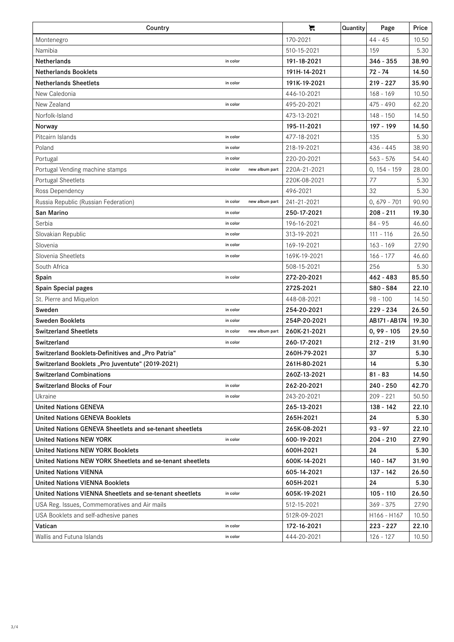| Country                                                   | ਸ਼                         | Quantity     | Page | Price          |       |
|-----------------------------------------------------------|----------------------------|--------------|------|----------------|-------|
| Montenegro                                                |                            | 170-2021     |      | $44 - 45$      | 10.50 |
| Namibia                                                   |                            | 510-15-2021  |      | 159            | 5.30  |
| <b>Netherlands</b>                                        | in color                   | 191-18-2021  |      | $346 - 355$    | 38.90 |
| <b>Netherlands Booklets</b>                               |                            | 191H-14-2021 |      | $72 - 74$      | 14.50 |
| <b>Netherlands Sheetlets</b>                              | in color                   | 191K-19-2021 |      | $219 - 227$    | 35.90 |
| New Caledonia                                             |                            | 446-10-2021  |      | $168 - 169$    | 10.50 |
| New Zealand                                               | in color                   | 495-20-2021  |      | $475 - 490$    | 62.20 |
| Norfolk-Island                                            |                            | 473-13-2021  |      | $148 - 150$    | 14.50 |
| Norway                                                    |                            | 195-11-2021  |      | 197 - 199      | 14.50 |
| Pitcairn Islands                                          | in color                   | 477-18-2021  |      | 135            | 5.30  |
| Poland                                                    | in color                   | 218-19-2021  |      | $436 - 445$    | 38.90 |
| Portugal                                                  | in color                   | 220-20-2021  |      | $563 - 576$    | 54.40 |
| Portugal Vending machine stamps                           | in color<br>new album part | 220A-21-2021 |      | $0, 154 - 159$ | 28.00 |
| Portugal Sheetlets                                        |                            | 220K-08-2021 |      | 77             | 5.30  |
| Ross Dependency                                           |                            | 496-2021     |      | 32             | 5.30  |
| Russia Republic (Russian Federation)                      | in color<br>new album part | 241-21-2021  |      | $0,679 - 701$  | 90.90 |
| San Marino                                                | in color                   | 250-17-2021  |      | $208 - 211$    | 19.30 |
| Serbia                                                    | in color                   | 196-16-2021  |      | $84 - 95$      | 46.60 |
| Slovakian Republic                                        | in color                   | 313-19-2021  |      | $111 - 116$    | 26.50 |
| Slovenia                                                  | in color                   | 169-19-2021  |      | $163 - 169$    | 27.90 |
| Slovenia Sheetlets                                        | in color                   | 169K-19-2021 |      | $166 - 177$    | 46.60 |
| South Africa                                              |                            | 508-15-2021  |      | 256            | 5.30  |
| Spain                                                     | in color                   | 272-20-2021  |      | $462 - 483$    | 85.50 |
| Spain Special pages                                       |                            | 272S-2021    |      | S80 - S84      | 22.10 |
| St. Pierre and Miquelon                                   |                            | 448-08-2021  |      | $98 - 100$     | 14.50 |
| Sweden                                                    | in color                   | 254-20-2021  |      | $229 - 234$    | 26.50 |
| <b>Sweden Booklets</b>                                    | in color                   | 254P-20-2021 |      | AB171 - AB174  | 19.30 |
| <b>Switzerland Sheetlets</b>                              | in color<br>new album part | 260K-21-2021 |      | $0, 99 - 105$  | 29.50 |
| Switzerland                                               | in color                   | 260-17-2021  |      | $212 - 219$    | 31.90 |
| Switzerland Booklets-Definitives and "Pro Patria"         |                            | 260H-79-2021 |      | 37             | 5.30  |
| Switzerland Booklets "Pro Juventute" (2019-2021)          |                            | 261H-80-2021 |      | 14             | 5.30  |
| <b>Switzerland Combinations</b>                           |                            | 260Z-13-2021 |      | $81 - 83$      | 14.50 |
| <b>Switzerland Blocks of Four</b>                         | in color                   | 262-20-2021  |      | 240 - 250      | 42.70 |
| Ukraine                                                   | in color                   | 243-20-2021  |      | $209 - 221$    | 50.50 |
| <b>United Nations GENEVA</b>                              |                            | 265-13-2021  |      | 138 - 142      | 22.10 |
| <b>United Nations GENEVA Booklets</b>                     |                            | 265H-2021    |      | 24             | 5.30  |
| United Nations GENEVA Sheetlets and se-tenant sheetlets   |                            | 265K-08-2021 |      | $93 - 97$      | 22.10 |
| <b>United Nations NEW YORK</b>                            | in color                   | 600-19-2021  |      | 204 - 210      | 27.90 |
| <b>United Nations NEW YORK Booklets</b>                   |                            | 600H-2021    |      | 24             | 5.30  |
| United Nations NEW YORK Sheetlets and se-tenant sheetlets |                            | 600K-14-2021 |      | 140 - 147      | 31.90 |
| <b>United Nations VIENNA</b>                              |                            | 605-14-2021  |      | 137 - 142      | 26.50 |
| <b>United Nations VIENNA Booklets</b>                     |                            | 605H-2021    |      | 24             | 5.30  |
| United Nations VIENNA Sheetlets and se-tenant sheetlets   | in color                   | 605K-19-2021 |      | $105 - 110$    | 26.50 |
| USA Reg. Issues, Commemoratives and Air mails             |                            | 512-15-2021  |      | $369 - 375$    | 27.90 |
| USA Booklets and self-adhesive panes                      |                            | 512R-09-2021 |      | H166 - H167    | 10.50 |
| Vatican                                                   | in color                   | 172-16-2021  |      | $223 - 227$    | 22.10 |
| Wallis and Futuna Islands                                 | in color                   | 444-20-2021  |      | 126 - 127      | 10.50 |